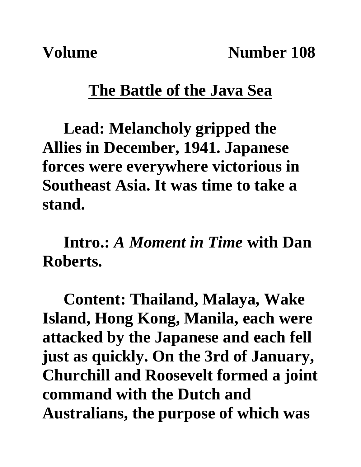**Volume** Number 108

## **The Battle of the Java Sea**

**Lead: Melancholy gripped the Allies in December, 1941. Japanese forces were everywhere victorious in Southeast Asia. It was time to take a stand.**

**Intro.:** *A Moment in Time* **with Dan Roberts.**

**Content: Thailand, Malaya, Wake Island, Hong Kong, Manila, each were attacked by the Japanese and each fell just as quickly. On the 3rd of January, Churchill and Roosevelt formed a joint command with the Dutch and Australians, the purpose of which was**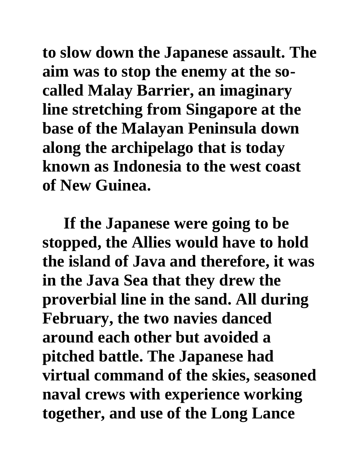**to slow down the Japanese assault. The aim was to stop the enemy at the socalled Malay Barrier, an imaginary line stretching from Singapore at the base of the Malayan Peninsula down along the archipelago that is today known as Indonesia to the west coast of New Guinea.** 

**If the Japanese were going to be stopped, the Allies would have to hold the island of Java and therefore, it was in the Java Sea that they drew the proverbial line in the sand. All during February, the two navies danced around each other but avoided a pitched battle. The Japanese had virtual command of the skies, seasoned naval crews with experience working together, and use of the Long Lance**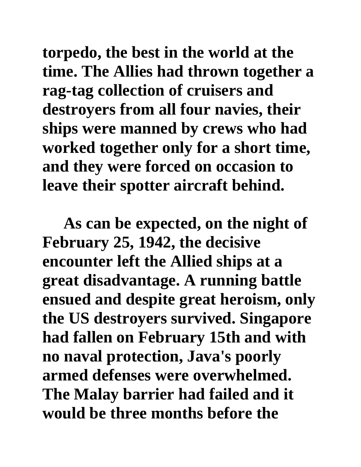**torpedo, the best in the world at the time. The Allies had thrown together a rag-tag collection of cruisers and destroyers from all four navies, their ships were manned by crews who had worked together only for a short time, and they were forced on occasion to leave their spotter aircraft behind.** 

**As can be expected, on the night of February 25, 1942, the decisive encounter left the Allied ships at a great disadvantage. A running battle ensued and despite great heroism, only the US destroyers survived. Singapore had fallen on February 15th and with no naval protection, Java's poorly armed defenses were overwhelmed. The Malay barrier had failed and it would be three months before the**